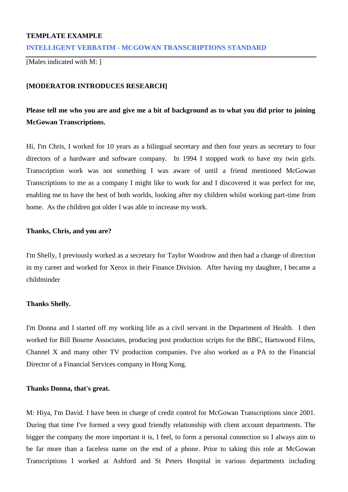## **TEMPLATE EXAMPLE**

## **INTELLIGENT VERBATIM - MCGOWAN TRANSCRIPTIONS STANDARD**

[Males indicated with M: 1]

## **[MODERATOR INTRODUCES RESEARCH]**

## **Please tell me who you are and give me a bit of background as to what you did prior to joining McGowan Transcriptions.**

Hi, I'm Chris, I worked for 10 years as a bilingual secretary and then four years as secretary to four directors of a hardware and software company. In 1994 I stopped work to have my twin girls. Transcription work was not something I was aware of until a friend mentioned McGowan Transcriptions to me as a company I might like to work for and I discovered it was perfect for me, enabling me to have the best of both worlds, looking after my children whilst working part-time from home. As the children got older I was able to increase my work.

#### **Thanks, Chris, and you are?**

I'm Shelly, I previously worked as a secretary for Taylor Woodrow and then had a change of direction in my career and worked for Xerox in their Finance Division. After having my daughter, I became a childminder

## **Thanks Shelly.**

I'm Donna and I started off my working life as a civil servant in the Department of Health. I then worked for Bill Bourne Associates, producing post production scripts for the BBC, Hartswood Films, Channel X and many other TV production companies. I've also worked as a PA to the Financial Director of a Financial Services company in Hong Kong.

#### **Thanks Donna, that's great.**

M: Hiya, I'm David. I have been in charge of credit control for McGowan Transcriptions since 2001. During that time I've formed a very good friendly relationship with client account departments. The bigger the company the more important it is, I feel, to form a personal connection so I always aim to be far more than a faceless name on the end of a phone. Prior to taking this role at McGowan Transcriptions I worked at Ashford and St Peters Hospital in various departments including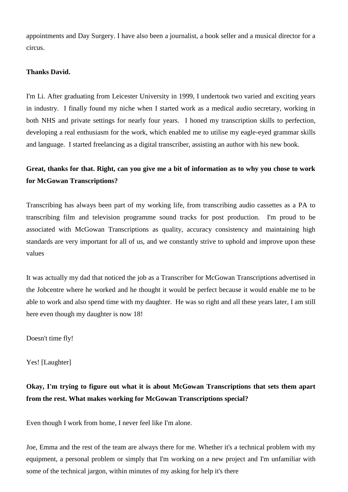appointments and Day Surgery. I have also been a journalist, a book seller and a musical director for a circus.

## **Thanks David.**

I'm Li. After graduating from Leicester University in 1999, I undertook two varied and exciting years in industry. I finally found my niche when I started work as a medical audio secretary, working in both NHS and private settings for nearly four years. I honed my transcription skills to perfection, developing a real enthusiasm for the work, which enabled me to utilise my eagle-eyed grammar skills and language. I started freelancing as a digital transcriber, assisting an author with his new book.

## **Great, thanks for that. Right, can you give me a bit of information as to why you chose to work for McGowan Transcriptions?**

Transcribing has always been part of my working life, from transcribing audio cassettes as a PA to transcribing film and television programme sound tracks for post production. I'm proud to be associated with McGowan Transcriptions as quality, accuracy consistency and maintaining high standards are very important for all of us, and we constantly strive to uphold and improve upon these values

It was actually my dad that noticed the job as a Transcriber for McGowan Transcriptions advertised in the Jobcentre where he worked and he thought it would be perfect because it would enable me to be able to work and also spend time with my daughter. He was so right and all these years later, I am still here even though my daughter is now 18!

Doesn't time fly!

Yes! [Laughter]

# **Okay, I'm trying to figure out what it is about McGowan Transcriptions that sets them apart from the rest. What makes working for McGowan Transcriptions special?**

Even though I work from home, I never feel like I'm alone.

Joe, Emma and the rest of the team are always there for me. Whether it's a technical problem with my equipment, a personal problem or simply that I'm working on a new project and I'm unfamiliar with some of the technical jargon, within minutes of my asking for help it's there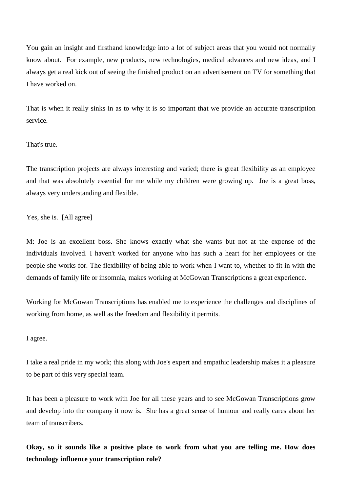You gain an insight and firsthand knowledge into a lot of subject areas that you would not normally know about. For example, new products, new technologies, medical advances and new ideas, and I always get a real kick out of seeing the finished product on an advertisement on TV for something that I have worked on.

That is when it really sinks in as to why it is so important that we provide an accurate transcription service.

That's true.

The transcription projects are always interesting and varied; there is great flexibility as an employee and that was absolutely essential for me while my children were growing up. Joe is a great boss, always very understanding and flexible.

Yes, she is. [All agree]

M: Joe is an excellent boss. She knows exactly what she wants but not at the expense of the individuals involved. I haven't worked for anyone who has such a heart for her employees or the people she works for. The flexibility of being able to work when I want to, whether to fit in with the demands of family life or insomnia, makes working at McGowan Transcriptions a great experience.

Working for McGowan Transcriptions has enabled me to experience the challenges and disciplines of working from home, as well as the freedom and flexibility it permits.

I agree.

I take a real pride in my work; this along with Joe's expert and empathic leadership makes it a pleasure to be part of this very special team.

It has been a pleasure to work with Joe for all these years and to see McGowan Transcriptions grow and develop into the company it now is. She has a great sense of humour and really cares about her team of transcribers.

**Okay, so it sounds like a positive place to work from what you are telling me. How does technology influence your transcription role?**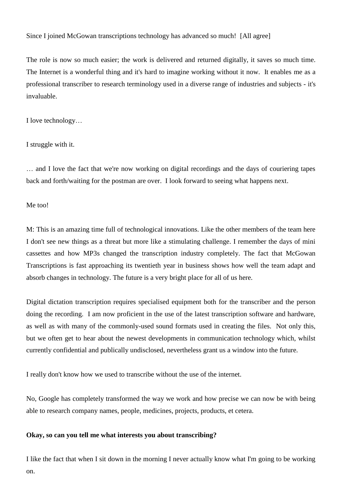## Since I joined McGowan transcriptions technology has advanced so much! [All agree]

The role is now so much easier; the work is delivered and returned digitally, it saves so much time. The Internet is a wonderful thing and it's hard to imagine working without it now. It enables me as a professional transcriber to research terminology used in a diverse range of industries and subjects - it's invaluable.

I love technology…

I struggle with it.

… and I love the fact that we're now working on digital recordings and the days of couriering tapes back and forth/waiting for the postman are over. I look forward to seeing what happens next.

Me too!

M: This is an amazing time full of technological innovations. Like the other members of the team here I don't see new things as a threat but more like a stimulating challenge. I remember the days of mini cassettes and how MP3s changed the transcription industry completely. The fact that McGowan Transcriptions is fast approaching its twentieth year in business shows how well the team adapt and absorb changes in technology. The future is a very bright place for all of us here.

Digital dictation transcription requires specialised equipment both for the transcriber and the person doing the recording. I am now proficient in the use of the latest transcription software and hardware, as well as with many of the commonly-used sound formats used in creating the files. Not only this, but we often get to hear about the newest developments in communication technology which, whilst currently confidential and publically undisclosed, nevertheless grant us a window into the future.

I really don't know how we used to transcribe without the use of the internet.

No, Google has completely transformed the way we work and how precise we can now be with being able to research company names, people, medicines, projects, products, et cetera.

### **Okay, so can you tell me what interests you about transcribing?**

I like the fact that when I sit down in the morning I never actually know what I'm going to be working on.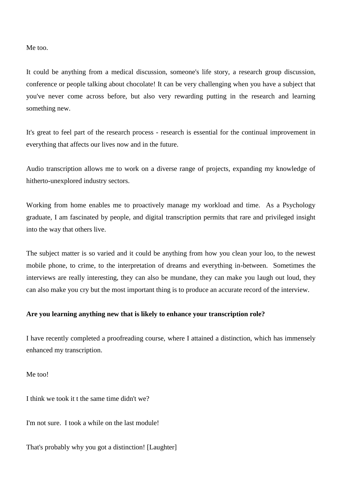Me too.

It could be anything from a medical discussion, someone's life story, a research group discussion, conference or people talking about chocolate! It can be very challenging when you have a subject that you've never come across before, but also very rewarding putting in the research and learning something new.

It's great to feel part of the research process - research is essential for the continual improvement in everything that affects our lives now and in the future.

Audio transcription allows me to work on a diverse range of projects, expanding my knowledge of hitherto-unexplored industry sectors.

Working from home enables me to proactively manage my workload and time. As a Psychology graduate, I am fascinated by people, and digital transcription permits that rare and privileged insight into the way that others live.

The subject matter is so varied and it could be anything from how you clean your loo, to the newest mobile phone, to crime, to the interpretation of dreams and everything in-between. Sometimes the interviews are really interesting, they can also be mundane, they can make you laugh out loud, they can also make you cry but the most important thing is to produce an accurate record of the interview.

## **Are you learning anything new that is likely to enhance your transcription role?**

I have recently completed a proofreading course, where I attained a distinction, which has immensely enhanced my transcription.

Me too!

I think we took it t the same time didn't we?

I'm not sure. I took a while on the last module!

That's probably why you got a distinction! [Laughter]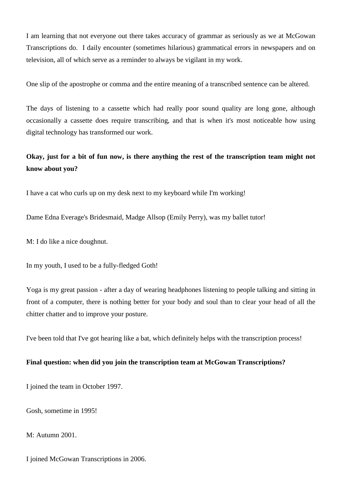I am learning that not everyone out there takes accuracy of grammar as seriously as we at McGowan Transcriptions do. I daily encounter (sometimes hilarious) grammatical errors in newspapers and on television, all of which serve as a reminder to always be vigilant in my work.

One slip of the apostrophe or comma and the entire meaning of a transcribed sentence can be altered.

The days of listening to a cassette which had really poor sound quality are long gone, although occasionally a cassette does require transcribing, and that is when it's most noticeable how using digital technology has transformed our work.

## **Okay, just for a bit of fun now, is there anything the rest of the transcription team might not know about you?**

I have a cat who curls up on my desk next to my keyboard while I'm working!

Dame Edna Everage's Bridesmaid, Madge Allsop (Emily Perry), was my ballet tutor!

M: I do like a nice doughnut.

In my youth, I used to be a fully-fledged Goth!

Yoga is my great passion - after a day of wearing headphones listening to people talking and sitting in front of a computer, there is nothing better for your body and soul than to clear your head of all the chitter chatter and to improve your posture.

I've been told that I've got hearing like a bat, which definitely helps with the transcription process!

### **Final question: when did you join the transcription team at McGowan Transcriptions?**

I joined the team in October 1997.

Gosh, sometime in 1995!

M: Autumn 2001.

I joined McGowan Transcriptions in 2006.